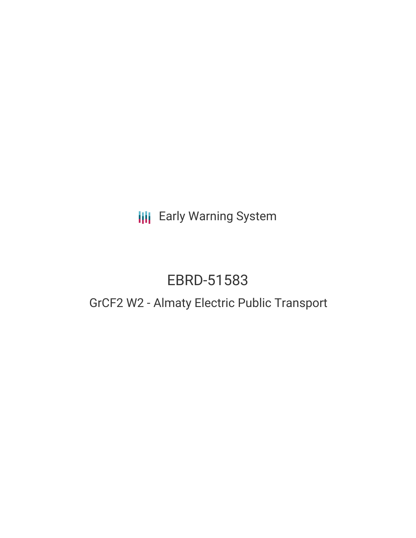**III** Early Warning System

# EBRD-51583

# GrCF2 W2 - Almaty Electric Public Transport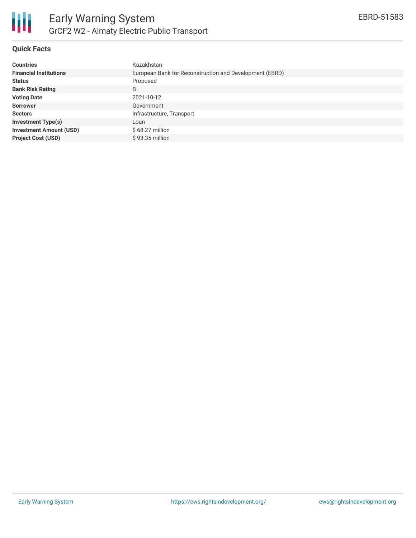

## **Quick Facts**

| <b>Countries</b>               | Kazakhstan                                              |
|--------------------------------|---------------------------------------------------------|
| <b>Financial Institutions</b>  | European Bank for Reconstruction and Development (EBRD) |
| <b>Status</b>                  | Proposed                                                |
| <b>Bank Risk Rating</b>        | B                                                       |
| <b>Voting Date</b>             | 2021-10-12                                              |
| <b>Borrower</b>                | Government                                              |
| <b>Sectors</b>                 | Infrastructure, Transport                               |
| <b>Investment Type(s)</b>      | Loan                                                    |
| <b>Investment Amount (USD)</b> | $$68.27$ million                                        |
| <b>Project Cost (USD)</b>      | \$93.35 million                                         |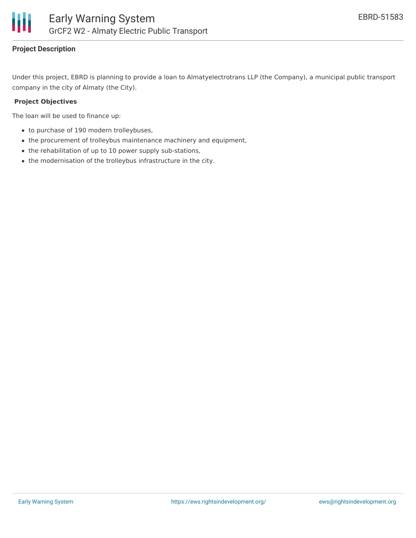

# **Project Description**

Under this project, EBRD is planning to provide a loan to Almatyelectrotrans LLP (the Company), a municipal public transport company in the city of Almaty (the City).

#### **Project Objectives**

The loan will be used to finance up:

- to purchase of 190 modern trolleybuses,
- the procurement of trolleybus maintenance machinery and equipment,
- the rehabilitation of up to 10 power supply sub-stations,
- the modernisation of the trolleybus infrastructure in the city.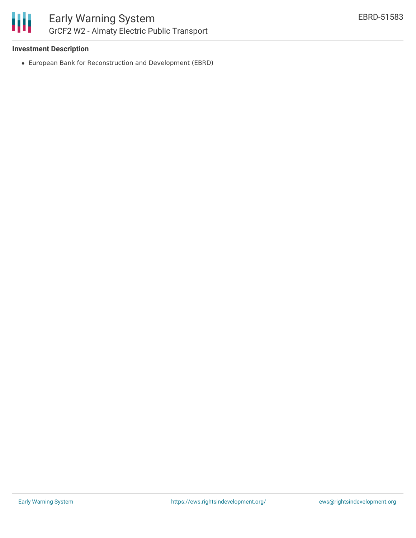

### **Investment Description**

European Bank for Reconstruction and Development (EBRD)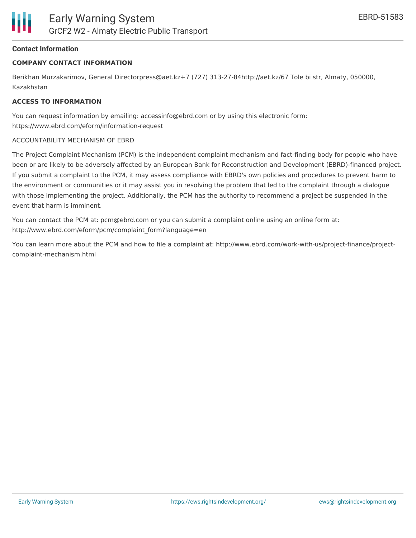### **Contact Information**

#### **COMPANY CONTACT INFORMATION**

Berikhan Murzakarimov, General Directorpress@aet.kz+7 (727) 313-27-84http://aet.kz/67 Tole bi str, Almaty, 050000, Kazakhstan

#### **ACCESS TO INFORMATION**

You can request information by emailing: accessinfo@ebrd.com or by using this electronic form: https://www.ebrd.com/eform/information-request

#### ACCOUNTABILITY MECHANISM OF EBRD

The Project Complaint Mechanism (PCM) is the independent complaint mechanism and fact-finding body for people who have been or are likely to be adversely affected by an European Bank for Reconstruction and Development (EBRD)-financed project. If you submit a complaint to the PCM, it may assess compliance with EBRD's own policies and procedures to prevent harm to the environment or communities or it may assist you in resolving the problem that led to the complaint through a dialogue with those implementing the project. Additionally, the PCM has the authority to recommend a project be suspended in the event that harm is imminent.

You can contact the PCM at: pcm@ebrd.com or you can submit a complaint online using an online form at: http://www.ebrd.com/eform/pcm/complaint\_form?language=en

You can learn more about the PCM and how to file a complaint at: http://www.ebrd.com/work-with-us/project-finance/projectcomplaint-mechanism.html